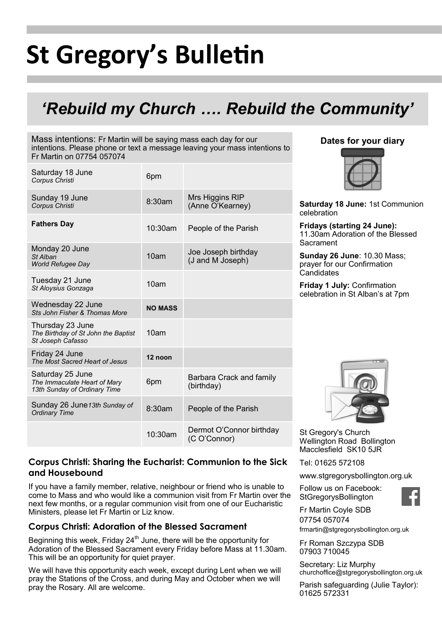# **St Gregory's Bulletin**

### *'Rebuild my Church …. Rebuild the Community'*

Mass intentions: Fr Martin will be saying mass each day for our intentions. Please phone or text a message leaving your mass intentions to Fr Martin on 07754 057074

| Saturday 18 June<br>Corpus Christi                                               | 6pm              |                                          |
|----------------------------------------------------------------------------------|------------------|------------------------------------------|
| Sunday 19 June<br>Corpus Christi                                                 | 8:30am           | Mrs Higgins RIP<br>(Anne O'Kearney)      |
| <b>Fathers Day</b>                                                               | $10:30$ am       | People of the Parish                     |
| Monday 20 June<br>St Alban<br>World Refugee Day                                  | 10am             | Joe Joseph birthday<br>(J and M Joseph)  |
| Tuesday 21 June<br>St Aloysius Gonzaga                                           | 10 <sub>am</sub> |                                          |
| Wednesday 22 June<br>Sts John Fisher & Thomas More                               | <b>NO MASS</b>   |                                          |
| Thursday 23 June<br>The Birthday of St John the Baptist<br>St Joseph Cafasso     | 10am             |                                          |
| Friday 24 June<br>The Most Sacred Heart of Jesus                                 | 12 noon          |                                          |
| Saturday 25 June<br>The Immaculate Heart of Mary<br>13th Sunday of Ordinary Time | 6pm              | Barbara Crack and family<br>(birthday)   |
| Sunday 26 June13th Sunday of<br><b>Ordinary Time</b>                             | 8:30am           | People of the Parish                     |
|                                                                                  | 10:30am          | Dermot O'Connor birthday<br>(C O'Connor) |

#### **Dates for your diary**



**Saturday 18 June:** 1st Communion celebration

**Fridays (starting 24 June):** 11.30am Adoration of the Blessed Sacrament

**Sunday 26 June**: 10.30 Mass; prayer for our Confirmation **Candidates** 

**Friday 1 July:** Confirmation celebration in St Alban's at 7pm

#### **Corpus Christi: Sharing the Eucharist: Communion to the Sick and Housebound**

If you have a family member, relative, neighbour or friend who is unable to come to Mass and who would like a communion visit from Fr Martin over the next few months, or a regular communion visit from one of our Eucharistic Ministers, please let Fr Martin or Liz know.

#### **Corpus Christi: Adoration of the Blessed Sacrament**

Beginning this week, Friday  $24<sup>th</sup>$  June, there will be the opportunity for Adoration of the Blessed Sacrament every Friday before Mass at 11.30am. This will be an opportunity for quiet prayer.

We will have this opportunity each week, except during Lent when we will pray the Stations of the Cross, and during May and October when we will pray the Rosary. All are welcome.



St Gregory's Church Wellington Road Bollington Macclesfield SK10 5JR

Tel: 01625 572108

www.stgregorysbollington.org.uk

Follow us on Facebook: **StGregorysBollington** 



Fr Martin Coyle SDB 07754 057074 frmartin@stgregorysbollington.org.uk

Fr Roman Szczypa SDB 07903 710045

Secretary: Liz Murphy churchoffice@stgregorysbollington.org.uk

Parish safeguarding (Julie Taylor): 01625 572331